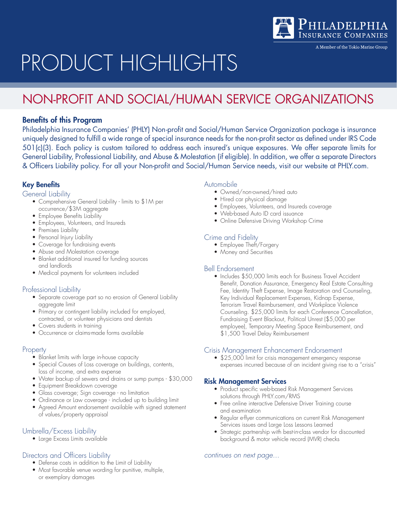

A Member of the Tokio Marine Group

# PRODUCT HIGHLIGHTS

# NON-PROFIT AND SOCIAL/HUMAN SERVICE ORGANIZATIONS

# Benefits of this Program

Philadelphia Insurance Companies' (PHLY) Non-profit and Social/Human Service Organization package is insurance uniquely designed to fulfill a wide range of special insurance needs for the non-profit sector as defined under IRS Code 501(c)(3). Each policy is custom tailored to address each insured's unique exposures. We offer separate limits for General Liability, Professional Liability, and Abuse & Molestation (if eligible). In addition, we offer a separate Directors & Officers Liability policy. For all your Non-profit and Social/Human Service needs, visit our website at PHLY.com.

# Key Benefits

#### General Liability

- Comprehensive General Liability limits to \$1M per occurrence/\$3M aggregate
- Employee Benefits Liability
- Employees, Volunteers, and Insureds
- Premises Liability
- Personal Injury Liability
- Coverage for fundraising events
- Abuse and Molestation coverage
- Blanket additional insured for funding sources and landlords
- Medical payments for volunteers included

## Professional Liability

- Separate coverage part so no erosion of General Liability aggregate limit
- Primary or contingent liability included for employed, contracted, or volunteer physicians and dentists
- Covers students in training
- Occurrence or claims-made forms available

## **Property**

- Blanket limits with large in-house capacity
- • Special Causes of Loss coverage on buildings, contents, loss of income, and extra expense
- Water backup of sewers and drains or sump pumps \$30,000
- • Equipment Breakdown coverage
- • Glass coverage; Sign coverage no limitation
- Ordinance or Law coverage included up to building limit
- Agreed Amount endorsement available with signed statement of values/property appraisal

# Umbrella/Excess Liability

• Large Excess Limits available

# Directors and Officers Liability

- • Defense costs in addition to the Limit of Liability
- Most favorable venue wording for punitive, multiple, or exemplary damages

#### Automobile

- Owned/non-owned/hired auto
- Hired car physical damage
- • Employees, Volunteers, and Insureds coverage
- • Web-based Auto ID card issuance
- Online Defensive Driving Workshop Crime

# Crime and Fidelity

- Employee Theft/Forgery
- Money and Securities

## Bell Endorsement

• Includes \$50,000 limits each for Business Travel Accident Benefit, Donation Assurance, Emergency Real Estate Consulting Fee, Identity Theft Expense, Image Restoration and Counseling, Key Individual Replacement Expenses, Kidnap Expense, Terrorism Travel Reimbursement, and Workplace Violence Counseling. \$25,000 limits for each Conference Cancellation, Fundraising Event Blackout, Political Unrest (\$5,000 per employee), Temporary Meeting Space Reimbursement, and \$1,500 Travel Delay Reimbursement

## Crisis Management Enhancement Endorsement

• \$25,000 limit for crisis management emergency response expenses incurred because of an incident giving rise to a "crisis"

## Risk Management Services

- Product specific web-based Risk Management Services solutions through PHLY.com/RMS
- Free online interactive Defensive Driver Training course and examination
- Regular e-flyer communications on current Risk Management Services issues and Large Loss Lessons Learned
- Strategic partnership with best-in-class vendor for discounted background & motor vehicle record (MVR) checks

#### *continues on next page...*